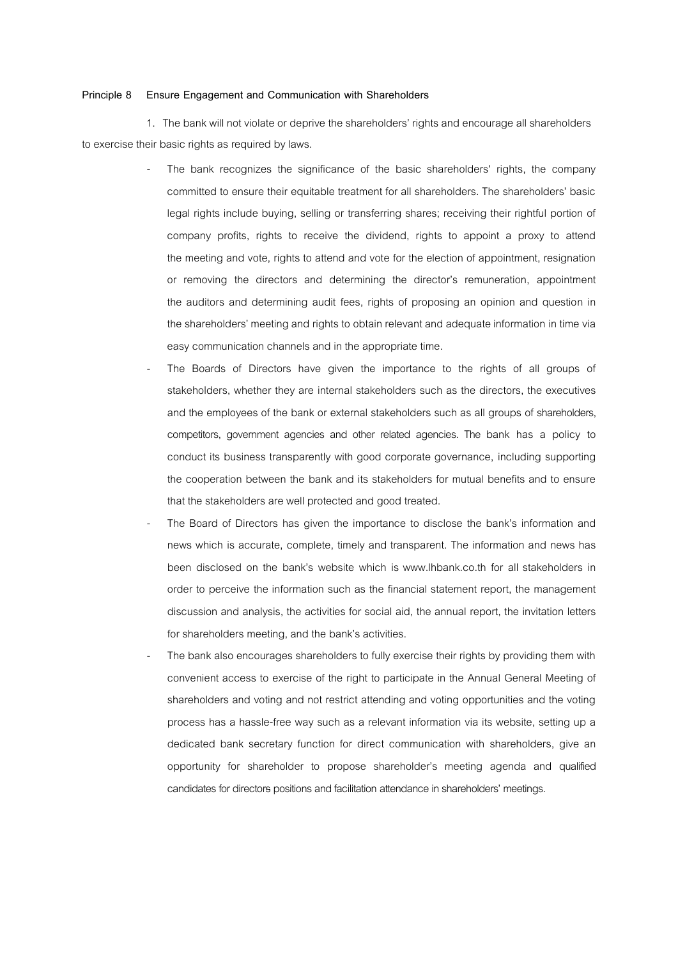## **Principle 8 Ensure Engagement and Communication with Shareholders**

1. The bank will not violate or deprive the shareholders' rights and encourage all shareholders to exercise their basic rights as required by laws.

- The bank recognizes the significance of the basic shareholders' rights, the company committed to ensure their equitable treatment for all shareholders. The shareholders' basic legal rights include buying, selling or transferring shares; receiving their rightful portion of company profits, rights to receive the dividend, rights to appoint a proxy to attend the meeting and vote, rights to attend and vote for the election of appointment, resignation or removing the directors and determining the director's remuneration, appointment the auditors and determining audit fees, rights of proposing an opinion and question in the shareholders' meeting and rights to obtain relevant and adequate information in time via easy communication channels and in the appropriate time.
- The Boards of Directors have given the importance to the rights of all groups of stakeholders, whether they are internal stakeholders such as the directors, the executives and the employees of the bank or external stakeholders such as all groups of shareholders, competitors, government agencies and other related agencies. The bank has a policy to conduct its business transparently with good corporate governance, including supporting the cooperation between the bank and its stakeholders for mutual benefits and to ensure that the stakeholders are well protected and good treated.
- The Board of Directors has given the importance to disclose the bank's information and news which is accurate, complete, timely and transparent. The information and news has been disclosed on the bank's website which is [www.lhbank.co.th](http://www.lhbank.co.th/) for all stakeholders in order to perceive the information such as the financial statement report, the management discussion and analysis, the activities for social aid, the annual report, the invitation letters for shareholders meeting, and the bank's activities.
- The bank also encourages shareholders to fully exercise their rights by providing them with convenient access to exercise of the right to participate in the Annual General Meeting of shareholders and voting and not restrict attending and voting opportunities and the voting process has a hassle-free way such as a relevant information via its website, setting up a dedicated bank secretary function for direct communication with shareholders, give an opportunity for shareholder to propose shareholder's meeting agenda and qualified candidates for directors positions and facilitation attendance in shareholders' meetings.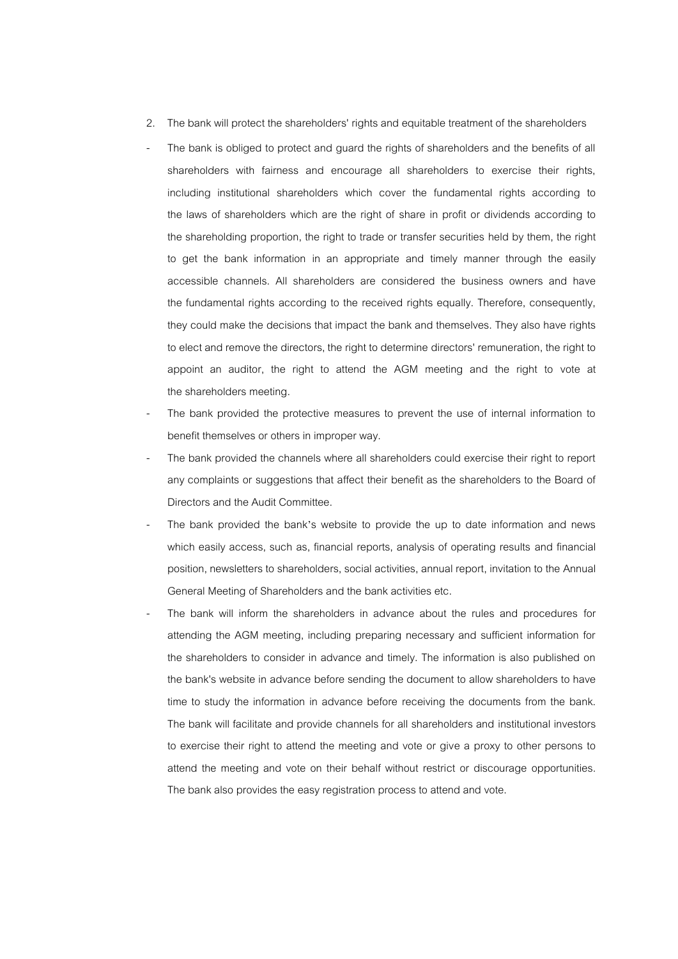- 2. The bank will protect the shareholders' rights and equitable treatment of the shareholders
- The bank is obliged to protect and guard the rights of shareholders and the benefits of all shareholders with fairness and encourage all shareholders to exercise their rights, including institutional shareholders which cover the fundamental rights according to the laws of shareholders which are the right of share in profit or dividends according to the shareholding proportion, the right to trade or transfer securities held by them, the right to get the bank information in an appropriate and timely manner through the easily accessible channels. All shareholders are considered the business owners and have the fundamental rights according to the received rights equally. Therefore, consequently, they could make the decisions that impact the bank and themselves. They also have rights to elect and remove the directors, the right to determine directors' remuneration, the right to appoint an auditor, the right to attend the AGM meeting and the right to vote at the shareholders meeting.
- The bank provided the protective measures to prevent the use of internal information to benefit themselves or others in improper way.
- The bank provided the channels where all shareholders could exercise their right to report any complaints or suggestions that affect their benefit as the shareholders to the Board of Directors and the Audit Committee.
- The bank provided the bank's website to provide the up to date information and news which easily access, such as, financial reports, analysis of operating results and financial position, newsletters to shareholders, social activities, annual report, invitation to the Annual General Meeting of Shareholders and the bank activities etc.
- The bank will inform the shareholders in advance about the rules and procedures for attending the AGM meeting, including preparing necessary and sufficient information for the shareholders to consider in advance and timely. The information is also published on the bank's website in advance before sending the document to allow shareholders to have time to study the information in advance before receiving the documents from the bank. The bank will facilitate and provide channels for all shareholders and institutional investors to exercise their right to attend the meeting and vote or give a proxy to other persons to attend the meeting and vote on their behalf without restrict or discourage opportunities. The bank also provides the easy registration process to attend and vote.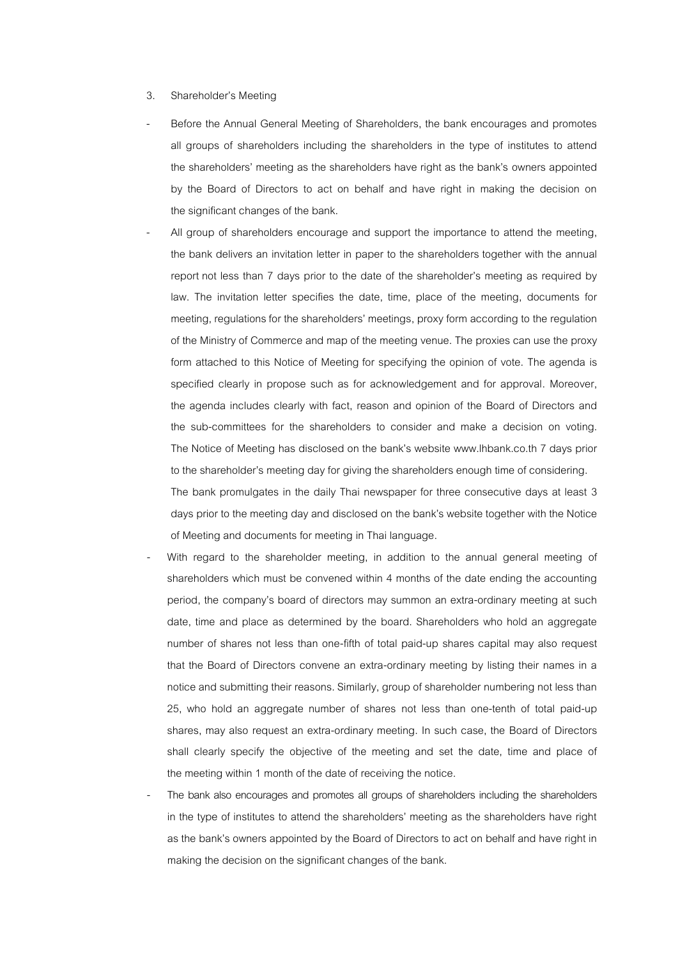## 3. Shareholder's Meeting

- Before the Annual General Meeting of Shareholders, the bank encourages and promotes all groups of shareholders including the shareholders in the type of institutes to attend the shareholders' meeting as the shareholders have right as the bank's owners appointed by the Board of Directors to act on behalf and have right in making the decision on the significant changes of the bank.
- All group of shareholders encourage and support the importance to attend the meeting. the bank delivers an invitation letter in paper to the shareholders together with the annual report not less than 7 days prior to the date of the shareholder's meeting as required by law. The invitation letter specifies the date, time, place of the meeting, documents for meeting, regulations for the shareholders' meetings, proxy form according to theregulation of the Ministry of Commerce and map of the meeting venue. The proxies can use the proxy form attached to this Notice of Meeting for specifying the opinion of vote. The agenda is specified clearly in propose such as for acknowledgement and for approval. Moreover, the agenda includes clearly with fact, reason and opinion of the Board of Directors and the sub-committees for the shareholders to consider and make a decision on voting. The Notice of Meeting has disclosed on the bank's website www.lhbank.co.th 7 days prior to the shareholder's meeting day for giving the shareholders enough time of considering.

The bank promulgates in the daily Thai newspaper for three consecutive days at least 3 days prior to the meeting dayand disclosed on the bank's website together with the Notice of Meeting and documents for meeting in Thai language.

- With regard to the shareholder meeting, in addition to the annual general meeting of shareholders which must be convened within 4 months of the date ending the accounting period, the company's board of directors may summon an extra-ordinary meeting at such date, time and place as determined by the board. Shareholders who hold an aggregate number of shares not less than one-fifth of total paid-up shares capital may also request that the Board of Directors convene an extra-ordinary meeting by listing their names in a notice and submitting their reasons. Similarly, group of shareholder numbering not less than 25, who hold an aggregate number of shares not less than one-tenth of total paid-up shares, may also request an extra-ordinary meeting. In such case, the Board of Directors shall clearly specify the objective of the meeting and set the date, time and place of the meeting within 1 month of the date of receiving the notice.
- The bank also encourages and promotes all groups of shareholders including the shareholders in the type of institutes to attend the shareholders' meeting as the shareholders have right as the bank's owners appointed by the Board of Directors to act on behalf and have right in making the decision on the significant changes of the bank.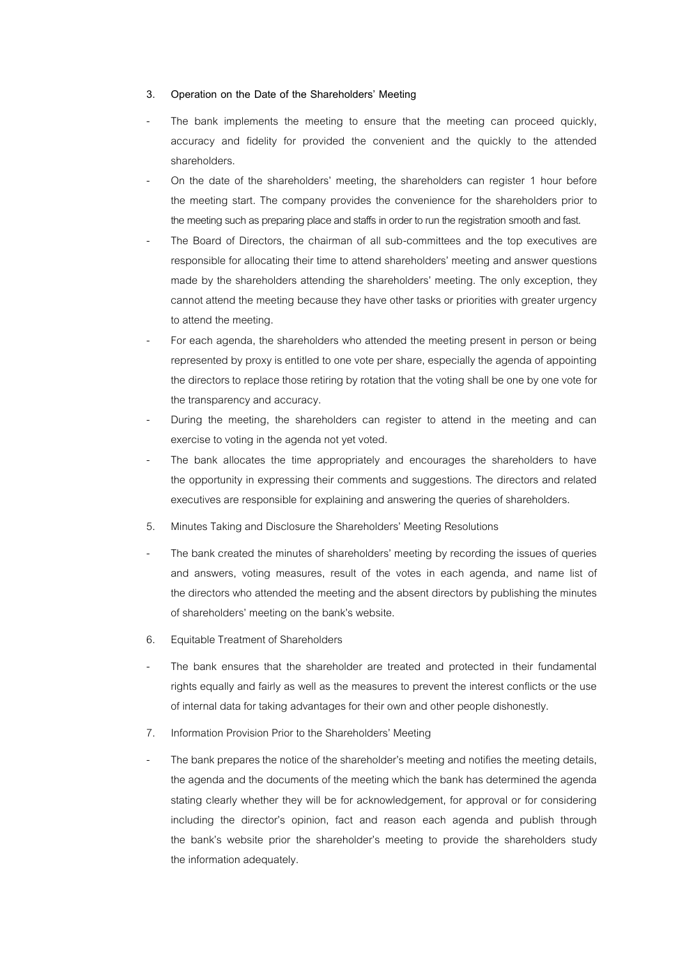## **3. Operation on the Date of the Shareholders' Meeting**

- The bank implements the meeting to ensure that the meeting can proceed quickly, accuracy and fidelity for provided the convenient and the quickly to the attended shareholders.
- On the date of the shareholders' meeting, the shareholders can register 1 hour before the meeting start. The company provides the convenience for the shareholders prior to the meeting such as preparing place and staffs in order to run the registration smooth and fast.
- The Board of Directors, the chairman of all sub-committees and the top executives are responsible for allocating their time to attend shareholders' meeting and answer questions made by the shareholders attending the shareholders' meeting. The only exception, they cannot attend the meeting because they have other tasks or priorities with greater urgency to attend the meeting.
- For each agenda, the shareholders who attended the meeting present in person or being represented by proxy is entitled to one vote per share, especially the agenda of appointing the directors to replace those retiring by rotation that the voting shall be one by one vote for the transparency and accuracy.
- During the meeting, the shareholders can register to attend in the meeting and can exercise to voting in the agenda not yet voted.
- The bank allocates the time appropriately and encourages the shareholders to have the opportunity in expressing their comments and suggestions. The directors and related executives are responsible for explaining and answering the queries of shareholders.
- 5. Minutes Taking and Disclosure the Shareholders' Meeting Resolutions
- The bank created the minutes of shareholders' meeting by recording the issues of queries and answers, voting measures, result of the votes in each agenda, and name list of the directors who attended the meeting and the absent directors by publishing the minutes of shareholders' meeting on the bank's website.
- 6. Equitable Treatment of Shareholders
- The bank ensures that the shareholder are treated and protected in their fundamental rights equally and fairly as well as the measures to prevent the interest conflicts or the use of internal data for taking advantages for their own and other people dishonestly.
- 7. Information Provision Prior to the Shareholders' Meeting
- The bank prepares the notice of the shareholder's meeting and notifies the meeting details, the agenda and the documents of the meeting which the bank has determined the agenda stating clearly whether they will be for acknowledgement, for approval or for considering including the director's opinion, fact and reason each agenda and publish through the bank's website prior the shareholder's meeting to provide the shareholders study the information adequately.